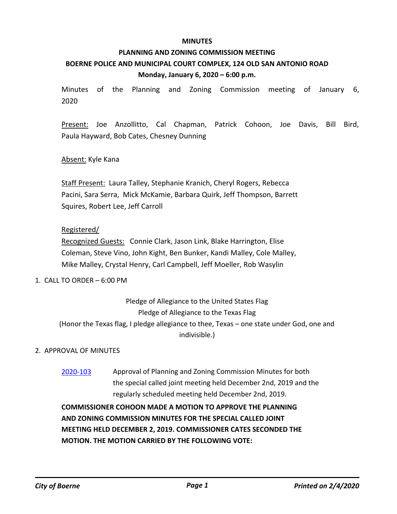### **MINUTES**

# **PLANNING AND ZONING COMMISSION MEETING BOERNE POLICE AND MUNICIPAL COURT COMPLEX, 124 OLD SAN ANTONIO ROAD Monday, January 6, 2020 – 6:00 p.m.**

Minutes of the Planning and Zoning Commission meeting of January 6, 2020

Present: Joe Anzollitto, Cal Chapman, Patrick Cohoon, Joe Davis, Bill Bird, Paula Hayward, Bob Cates, Chesney Dunning

## Absent: Kyle Kana

Staff Present: Laura Talley, Stephanie Kranich, Cheryl Rogers, Rebecca Pacini, Sara Serra, Mick McKamie, Barbara Quirk, Jeff Thompson, Barrett Squires, Robert Lee, Jeff Carroll

## Registered/

Recognized Guests: Connie Clark, Jason Link, Blake Harrington, Elise Coleman, Steve Vino, John Kight, Ben Bunker, Kandi Malley, Cole Malley, Mike Malley, Crystal Henry, Carl Campbell, Jeff Moeller, Rob Wasylin

## 1. CALL TO ORDER – 6:00 PM

Pledge of Allegiance to the United States Flag Pledge of Allegiance to the Texas Flag (Honor the Texas flag, I pledge allegiance to thee, Texas – one state under God, one and indivisible.)

## 2. APPROVAL OF MINUTES

[2020-103](http://boerne.legistar.com/gateway.aspx?m=l&id=/matter.aspx?key=5023) Approval of Planning and Zoning Commission Minutes for both the special called joint meeting held December 2nd, 2019 and the regularly scheduled meeting held December 2nd, 2019.

**COMMISSIONER COHOON MADE A MOTION TO APPROVE THE PLANNING AND ZONING COMMISSION MINUTES FOR THE SPECIAL CALLED JOINT MEETING HELD DECEMBER 2, 2019. COMMISSIONER CATES SECONDED THE MOTION. THE MOTION CARRIED BY THE FOLLOWING VOTE:**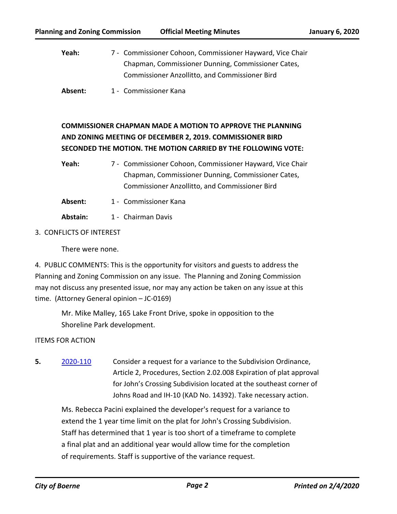Yeah: 7 - Commissioner Cohoon, Commissioner Hayward, Vice Chair Chapman, Commissioner Dunning, Commissioner Cates, Commissioner Anzollitto, and Commissioner Bird

Absent: 1 - Commissioner Kana

# **COMMISSIONER CHAPMAN MADE A MOTION TO APPROVE THE PLANNING AND ZONING MEETING OF DECEMBER 2, 2019. COMMISSIONER BIRD SECONDED THE MOTION. THE MOTION CARRIED BY THE FOLLOWING VOTE:**

Yeah: 7 - Commissioner Cohoon, Commissioner Hayward, Vice Chair Chapman, Commissioner Dunning, Commissioner Cates, Commissioner Anzollitto, and Commissioner Bird

- Absent: 1 Commissioner Kana
- Abstain: 1 Chairman Davis
- 3. CONFLICTS OF INTEREST

There were none.

4. PUBLIC COMMENTS: This is the opportunity for visitors and guests to address the Planning and Zoning Commission on any issue. The Planning and Zoning Commission may not discuss any presented issue, nor may any action be taken on any issue at this time. (Attorney General opinion – JC-0169)

Mr. Mike Malley, 165 Lake Front Drive, spoke in opposition to the Shoreline Park development.

## ITEMS FOR ACTION

**5.** [2020-110](http://boerne.legistar.com/gateway.aspx?m=l&id=/matter.aspx?key=5030) Consider a request for a variance to the Subdivision Ordinance, Article 2, Procedures, Section 2.02.008 Expiration of plat approval for John's Crossing Subdivision located at the southeast corner of Johns Road and IH-10 (KAD No. 14392). Take necessary action.

Ms. Rebecca Pacini explained the developer's request for a variance to extend the 1 year time limit on the plat for John's Crossing Subdivision. Staff has determined that 1 year is too short of a timeframe to complete a final plat and an additional year would allow time for the completion of requirements. Staff is supportive of the variance request.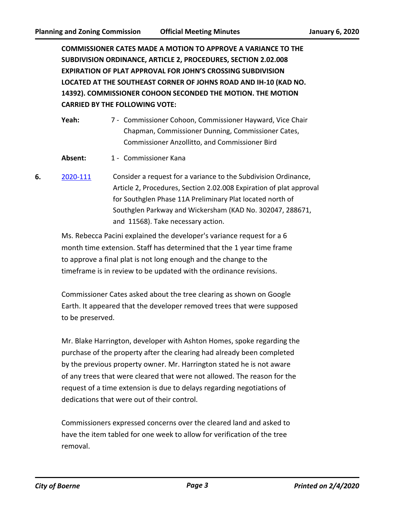**COMMISSIONER CATES MADE A MOTION TO APPROVE A VARIANCE TO THE SUBDIVISION ORDINANCE, ARTICLE 2, PROCEDURES, SECTION 2.02.008 EXPIRATION OF PLAT APPROVAL FOR JOHN'S CROSSING SUBDIVISION LOCATED AT THE SOUTHEAST CORNER OF JOHNS ROAD AND IH-10 (KAD NO. 14392). COMMISSIONER COHOON SECONDED THE MOTION. THE MOTION CARRIED BY THE FOLLOWING VOTE:**

| Yeah: | 7 - Commissioner Cohoon, Commissioner Hayward, Vice Chair |
|-------|-----------------------------------------------------------|
|       | Chapman, Commissioner Dunning, Commissioner Cates,        |
|       | <b>Commissioner Anzollitto, and Commissioner Bird</b>     |

- Absent: 1 Commissioner Kana
- **6.** [2020-111](http://boerne.legistar.com/gateway.aspx?m=l&id=/matter.aspx?key=5031) Consider a request for a variance to the Subdivision Ordinance, Article 2, Procedures, Section 2.02.008 Expiration of plat approval for Southglen Phase 11A Preliminary Plat located north of Southglen Parkway and Wickersham (KAD No. 302047, 288671, and 11568). Take necessary action.

Ms. Rebecca Pacini explained the developer's variance request for a 6 month time extension. Staff has determined that the 1 year time frame to approve a final plat is not long enough and the change to the timeframe is in review to be updated with the ordinance revisions.

Commissioner Cates asked about the tree clearing as shown on Google Earth. It appeared that the developer removed trees that were supposed to be preserved.

Mr. Blake Harrington, developer with Ashton Homes, spoke regarding the purchase of the property after the clearing had already been completed by the previous property owner. Mr. Harrington stated he is not aware of any trees that were cleared that were not allowed. The reason for the request of a time extension is due to delays regarding negotiations of dedications that were out of their control.

Commissioners expressed concerns over the cleared land and asked to have the item tabled for one week to allow for verification of the tree removal.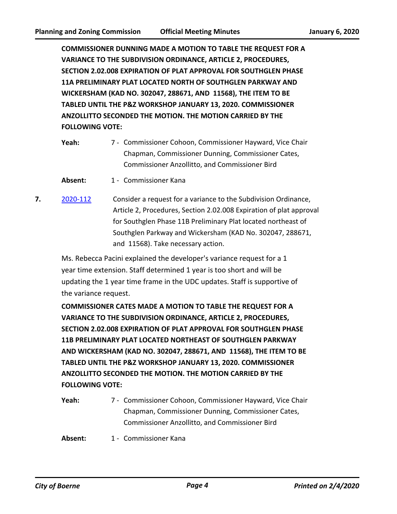**COMMISSIONER DUNNING MADE A MOTION TO TABLE THE REQUEST FOR A VARIANCE TO THE SUBDIVISION ORDINANCE, ARTICLE 2, PROCEDURES, SECTION 2.02.008 EXPIRATION OF PLAT APPROVAL FOR SOUTHGLEN PHASE 11A PRELIMINARY PLAT LOCATED NORTH OF SOUTHGLEN PARKWAY AND WICKERSHAM (KAD NO. 302047, 288671, AND 11568), THE ITEM TO BE TABLED UNTIL THE P&Z WORKSHOP JANUARY 13, 2020. COMMISSIONER ANZOLLITTO SECONDED THE MOTION. THE MOTION CARRIED BY THE FOLLOWING VOTE:**

- Yeah: 7 Commissioner Cohoon, Commissioner Hayward, Vice Chair Chapman, Commissioner Dunning, Commissioner Cates, Commissioner Anzollitto, and Commissioner Bird
- Absent: 1 Commissioner Kana
- **7.** [2020-112](http://boerne.legistar.com/gateway.aspx?m=l&id=/matter.aspx?key=5032) Consider a request for a variance to the Subdivision Ordinance, Article 2, Procedures, Section 2.02.008 Expiration of plat approval for Southglen Phase 11B Preliminary Plat located northeast of Southglen Parkway and Wickersham (KAD No. 302047, 288671, and 11568). Take necessary action.

Ms. Rebecca Pacini explained the developer's variance request for a 1 year time extension. Staff determined 1 year is too short and will be updating the 1 year time frame in the UDC updates. Staff is supportive of the variance request.

**COMMISSIONER CATES MADE A MOTION TO TABLE THE REQUEST FOR A VARIANCE TO THE SUBDIVISION ORDINANCE, ARTICLE 2, PROCEDURES, SECTION 2.02.008 EXPIRATION OF PLAT APPROVAL FOR SOUTHGLEN PHASE 11B PRELIMINARY PLAT LOCATED NORTHEAST OF SOUTHGLEN PARKWAY AND WICKERSHAM (KAD NO. 302047, 288671, AND 11568), THE ITEM TO BE TABLED UNTIL THE P&Z WORKSHOP JANUARY 13, 2020. COMMISSIONER ANZOLLITTO SECONDED THE MOTION. THE MOTION CARRIED BY THE FOLLOWING VOTE:**

Yeah: 7 - Commissioner Cohoon, Commissioner Hayward, Vice Chair Chapman, Commissioner Dunning, Commissioner Cates, Commissioner Anzollitto, and Commissioner Bird

Absent: 1 - Commissioner Kana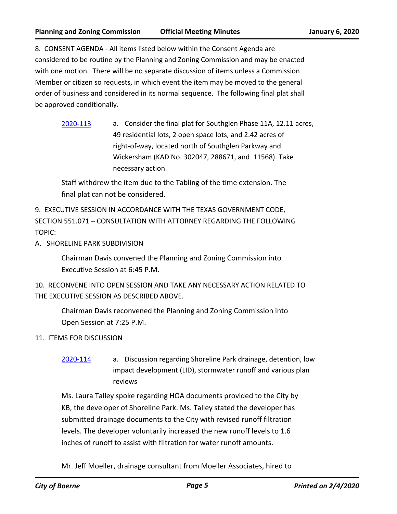8. CONSENT AGENDA - All items listed below within the Consent Agenda are considered to be routine by the Planning and Zoning Commission and may be enacted with one motion. There will be no separate discussion of items unless a Commission Member or citizen so requests, in which event the item may be moved to the general order of business and considered in its normal sequence. The following final plat shall be approved conditionally.

[2020-113](http://boerne.legistar.com/gateway.aspx?m=l&id=/matter.aspx?key=5033) a. Consider the final plat for Southglen Phase 11A, 12.11 acres, 49 residential lots, 2 open space lots, and 2.42 acres of right-of-way, located north of Southglen Parkway and Wickersham (KAD No. 302047, 288671, and 11568). Take necessary action.

Staff withdrew the item due to the Tabling of the time extension. The final plat can not be considered.

9. EXECUTIVE SESSION IN ACCORDANCE WITH THE TEXAS GOVERNMENT CODE, SECTION 551.071 – CONSULTATION WITH ATTORNEY REGARDING THE FOLLOWING TOPIC:

A. SHORELINE PARK SUBDIVISION

Chairman Davis convened the Planning and Zoning Commission into Executive Session at 6:45 P.M.

10. RECONVENE INTO OPEN SESSION AND TAKE ANY NECESSARY ACTION RELATED TO THE EXECUTIVE SESSION AS DESCRIBED ABOVE.

Chairman Davis reconvened the Planning and Zoning Commission into Open Session at 7:25 P.M.

11. ITEMS FOR DISCUSSION

[2020-114](http://boerne.legistar.com/gateway.aspx?m=l&id=/matter.aspx?key=5034) a. Discussion regarding Shoreline Park drainage, detention, low impact development (LID), stormwater runoff and various plan reviews

Ms. Laura Talley spoke regarding HOA documents provided to the City by KB, the developer of Shoreline Park. Ms. Talley stated the developer has submitted drainage documents to the City with revised runoff filtration levels. The developer voluntarily increased the new runoff levels to 1.6 inches of runoff to assist with filtration for water runoff amounts.

Mr. Jeff Moeller, drainage consultant from Moeller Associates, hired to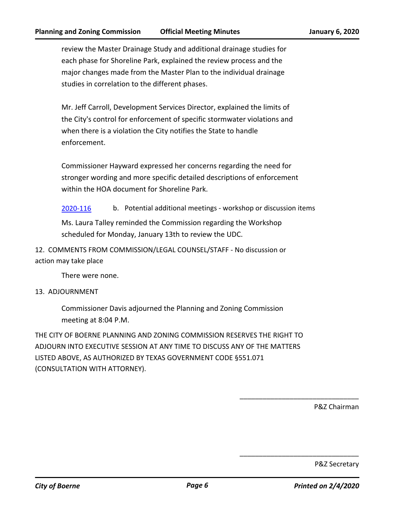review the Master Drainage Study and additional drainage studies for each phase for Shoreline Park, explained the review process and the major changes made from the Master Plan to the individual drainage studies in correlation to the different phases.

Mr. Jeff Carroll, Development Services Director, explained the limits of the City's control for enforcement of specific stormwater violations and when there is a violation the City notifies the State to handle enforcement.

Commissioner Hayward expressed her concerns regarding the need for stronger wording and more specific detailed descriptions of enforcement within the HOA document for Shoreline Park.

[2020-116](http://boerne.legistar.com/gateway.aspx?m=l&id=/matter.aspx?key=5036) b. Potential additional meetings - workshop or discussion items

Ms. Laura Talley reminded the Commission regarding the Workshop scheduled for Monday, January 13th to review the UDC.

12. COMMENTS FROM COMMISSION/LEGAL COUNSEL/STAFF - No discussion or action may take place

There were none.

### 13. ADJOURNMENT

Commissioner Davis adjourned the Planning and Zoning Commission meeting at 8:04 P.M.

THE CITY OF BOERNE PLANNING AND ZONING COMMISSION RESERVES THE RIGHT TO ADJOURN INTO EXECUTIVE SESSION AT ANY TIME TO DISCUSS ANY OF THE MATTERS LISTED ABOVE, AS AUTHORIZED BY TEXAS GOVERNMENT CODE §551.071 (CONSULTATION WITH ATTORNEY).

P&Z Chairman

\_\_\_\_\_\_\_\_\_\_\_\_\_\_\_\_\_\_\_\_\_\_\_\_\_\_\_\_\_\_\_

\_\_\_\_\_\_\_\_\_\_\_\_\_\_\_\_\_\_\_\_\_\_\_\_\_\_\_\_\_\_\_

P&Z Secretary